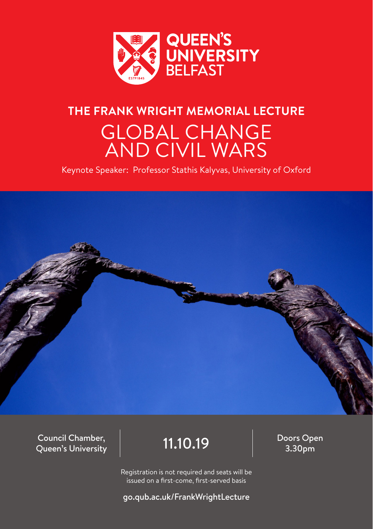

## **THE FRANK WRIGHT MEMORIAL LECTURE** GLOBAL CHANGE AND CIVIL WARS

Keynote Speaker: Professor Stathis Kalyvas, University of Oxford



Council Chamber, Queen's University

 $\begin{array}{c|c}\n 11.10.19\n \end{array}$   $\begin{array}{c}\n \text{Doors Open} \\
\text{3.30pm}\n \end{array}$ 

Registration is not required and seats will be issued on a first-come, first-served basis

go.qub.ac.uk/FrankWrightLecture